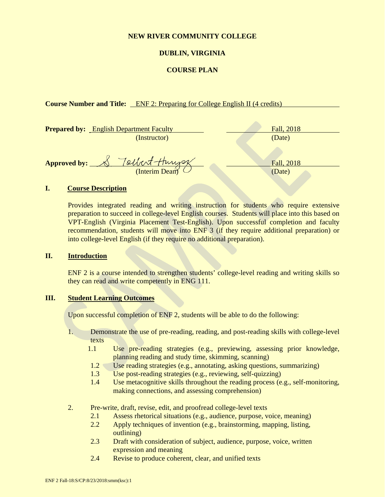#### **NEW RIVER COMMUNITY COLLEGE**

### **DUBLIN, VIRGINIA**

#### **COURSE PLAN**

#### **Course Number and Title:** ENF 2: Preparing for College English II (4 credits)

| <b>Prepared by:</b> English Department Faculty | Fall, 2018 |
|------------------------------------------------|------------|
| (Instructor)                                   | (Date)     |
|                                                |            |
| Tolbert-Hungs<br>Approved by: $\bigotimes$     | Fall, 2018 |
| (Interim Dean)                                 | (Date)     |

#### **I. Course Description**

Provides integrated reading and writing instruction for students who require extensive preparation to succeed in college-level English courses. Students will place into this based on VPT-English (Virginia Placement Test-English). Upon successful completion and faculty recommendation, students will move into ENF 3 (if they require additional preparation) or into college-level English (if they require no additional preparation).

#### **II. Introduction**

ENF 2 is a course intended to strengthen students' college-level reading and writing skills so they can read and write competently in ENG 111.

## **III. Student Learning Outcomes**

Upon successful completion of ENF 2, students will be able to do the following:

- 1. Demonstrate the use of pre-reading, reading, and post-reading skills with college-level texts
	- 1.1 Use pre-reading strategies (e.g., previewing, assessing prior knowledge, planning reading and study time, skimming, scanning)
	- 1.2 Use reading strategies (e.g., annotating, asking questions, summarizing)
	- 1.3 Use post-reading strategies (e.g., reviewing, self-quizzing)
	- 1.4 Use metacognitive skills throughout the reading process (e.g., self-monitoring, making connections, and assessing comprehension)
- 2. Pre-write, draft, revise, edit, and proofread college-level texts
	- 2.1 Assess rhetorical situations (e.g., audience, purpose, voice, meaning)
	- 2.2 Apply techniques of invention (e.g., brainstorming, mapping, listing, outlining)
	- 2.3 Draft with consideration of subject, audience, purpose, voice, written expression and meaning
	- 2.4 Revise to produce coherent, clear, and unified texts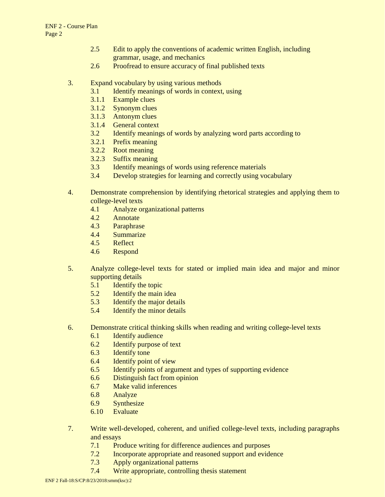- 2.5 Edit to apply the conventions of academic written English, including grammar, usage, and mechanics
- 2.6 Proofread to ensure accuracy of final published texts

### 3. Expand vocabulary by using various methods

- 3.1 Identify meanings of words in context, using
- 3.1.1 Example clues
- 3.1.2 Synonym clues
- 3.1.3 Antonym clues
- 3.1.4 General context
- 3.2 Identify meanings of words by analyzing word parts according to
- 3.2.1 Prefix meaning
- 3.2.2 Root meaning
- 3.2.3 Suffix meaning
- 3.3 Identify meanings of words using reference materials
- 3.4 Develop strategies for learning and correctly using vocabulary
- 4. Demonstrate comprehension by identifying rhetorical strategies and applying them to college-level texts
	- 4.1 Analyze organizational patterns
	- 4.2 Annotate
	- 4.3 Paraphrase
	- 4.4 Summarize
	- 4.5 Reflect
	- 4.6 Respond
- 5. Analyze college-level texts for stated or implied main idea and major and minor supporting details
	- 5.1 Identify the topic
	- 5.2 Identify the main idea
	- 5.3 Identify the major details
	- 5.4 Identify the minor details
- 6. Demonstrate critical thinking skills when reading and writing college-level texts
	- 6.1 Identify audience
	- 6.2 Identify purpose of text
	- 6.3 Identify tone
	- 6.4 Identify point of view
	- 6.5 Identify points of argument and types of supporting evidence
	- 6.6 Distinguish fact from opinion
	- 6.7 Make valid inferences
	- 6.8 Analyze
	- 6.9 Synthesize
	- 6.10 Evaluate
- 7. Write well-developed, coherent, and unified college-level texts, including paragraphs and essays
	- 7.1 Produce writing for difference audiences and purposes<br>7.2 Incorporate appropriate and reasoned support and evident
	- Incorporate appropriate and reasoned support and evidence
	- 7.3 Apply organizational patterns
	- 7.4 Write appropriate, controlling thesis statement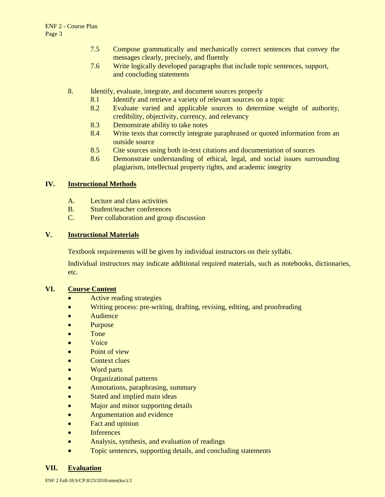- 7.5 Compose grammatically and mechanically correct sentences that convey the messages clearly, precisely, and fluently
- 7.6 Write logically developed paragraphs that include topic sentences, support, and concluding statements
- 8. Identify, evaluate, integrate, and document sources properly
	- 8.1 Identify and retrieve a variety of relevant sources on a topic
	- 8.2 Evaluate varied and applicable sources to determine weight of authority, credibility, objectivity, currency, and relevancy
	- 8.3 Demonstrate ability to take notes
	- 8.4 Write texts that correctly integrate paraphrased or quoted information from an outside source
	- 8.5 Cite sources using both in-text citations and documentation of sources
	- 8.6 Demonstrate understanding of ethical, legal, and social issues surrounding plagiarism, intellectual property rights, and academic integrity

### **IV. Instructional Methods**

- A. Lecture and class activities
- B. Student/teacher conferences
- C. Peer collaboration and group discussion

### **V. Instructional Materials**

Textbook requirements will be given by individual instructors on their syllabi.

Individual instructors may indicate additional required materials, such as notebooks, dictionaries, etc.

#### **VI. Course Content**

- Active reading strategies
- Writing process: pre-writing, drafting, revising, editing, and proofreading
- **Audience**
- Purpose
- Tone
- Voice
- Point of view
- Context clues
- Word parts
- Organizational patterns
- Annotations, paraphrasing, summary
- Stated and implied main ideas
- Major and minor supporting details
- Argumentation and evidence
- Fact and opinion
- Inferences
- Analysis, synthesis, and evaluation of readings
- Topic sentences, supporting details, and concluding statements

#### **VII. Evaluation**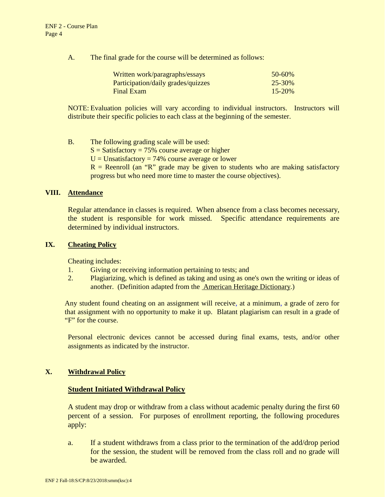A. The final grade for the course will be determined as follows:

| Written work/paragraphs/essays     | $50 - 60\%$ |
|------------------------------------|-------------|
| Participation/daily grades/quizzes | $25 - 30\%$ |
| Final Exam                         | $15 - 20\%$ |

NOTE: Evaluation policies will vary according to individual instructors. Instructors will distribute their specific policies to each class at the beginning of the semester.

B. The following grading scale will be used:  $S = S$ atisfactory = 75% course average or higher  $U =$  Unsatisfactory = 74% course average or lower  $R$  = Reenroll (an "R" grade may be given to students who are making satisfactory progress but who need more time to master the course objectives).

#### **VIII. Attendance**

Regular attendance in classes is required. When absence from a class becomes necessary, the student is responsible for work missed. Specific attendance requirements are determined by individual instructors.

#### **IX. Cheating Policy**

Cheating includes:

- 1. Giving or receiving information pertaining to tests; and
- 2. Plagiarizing, which is defined as taking and using as one's own the writing or ideas of another. (Definition adapted from the American Heritage Dictionary.)

Any student found cheating on an assignment will receive, at a minimum, a grade of zero for that assignment with no opportunity to make it up. Blatant plagiarism can result in a grade of "F" for the course.

Personal electronic devices cannot be accessed during final exams, tests, and/or other assignments as indicated by the instructor.

#### **X. Withdrawal Policy**

#### **Student Initiated Withdrawal Policy**

A student may drop or withdraw from a class without academic penalty during the first 60 percent of a session. For purposes of enrollment reporting, the following procedures apply:

a. If a student withdraws from a class prior to the termination of the add/drop period for the session, the student will be removed from the class roll and no grade will be awarded.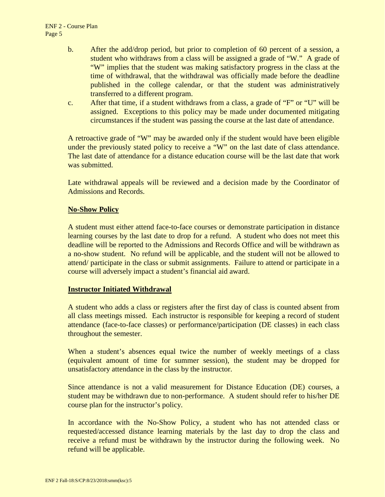- b. After the add/drop period, but prior to completion of 60 percent of a session, a student who withdraws from a class will be assigned a grade of "W." A grade of "W" implies that the student was making satisfactory progress in the class at the time of withdrawal, that the withdrawal was officially made before the deadline published in the college calendar, or that the student was administratively transferred to a different program.
- c. After that time, if a student withdraws from a class, a grade of "F" or "U" will be assigned. Exceptions to this policy may be made under documented mitigating circumstances if the student was passing the course at the last date of attendance.

A retroactive grade of "W" may be awarded only if the student would have been eligible under the previously stated policy to receive a "W" on the last date of class attendance. The last date of attendance for a distance education course will be the last date that work was submitted.

Late withdrawal appeals will be reviewed and a decision made by the Coordinator of Admissions and Records.

## **No-Show Policy**

A student must either attend face-to-face courses or demonstrate participation in distance learning courses by the last date to drop for a refund. A student who does not meet this deadline will be reported to the Admissions and Records Office and will be withdrawn as a no-show student. No refund will be applicable, and the student will not be allowed to attend/ participate in the class or submit assignments. Failure to attend or participate in a course will adversely impact a student's financial aid award.

### **Instructor Initiated Withdrawal**

A student who adds a class or registers after the first day of class is counted absent from all class meetings missed. Each instructor is responsible for keeping a record of student attendance (face-to-face classes) or performance/participation (DE classes) in each class throughout the semester.

When a student's absences equal twice the number of weekly meetings of a class (equivalent amount of time for summer session), the student may be dropped for unsatisfactory attendance in the class by the instructor.

Since attendance is not a valid measurement for Distance Education (DE) courses, a student may be withdrawn due to non-performance. A student should refer to his/her DE course plan for the instructor's policy.

In accordance with the No-Show Policy, a student who has not attended class or requested/accessed distance learning materials by the last day to drop the class and receive a refund must be withdrawn by the instructor during the following week. No refund will be applicable.